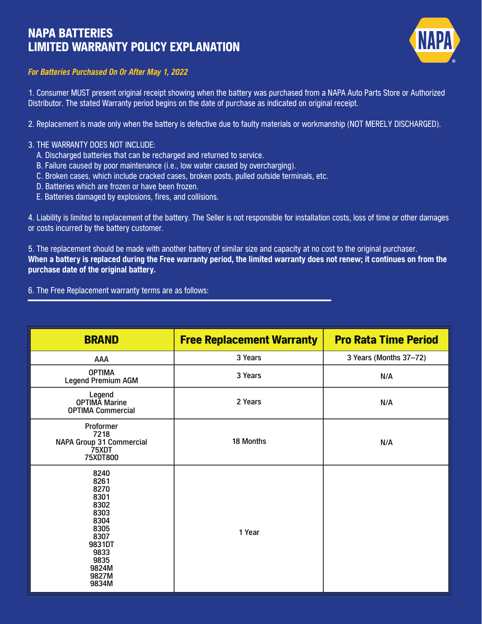## NAPA BATTERIES LIMITED WARRANTY POLICY EXPLANATION



## *For Batteries Purchased On Or After May 1, 2022*

1. Consumer MUST present original receipt showing when the battery was purchased from a NAPA Auto Parts Store or Authorized Distributor. The stated Warranty period begins on the date of purchase as indicated on original receipt.

2. Replacement is made only when the battery is defective due to faulty materials or workmanship (NOT MERELY DISCHARGED).

## 3. THE WARRANTY DOES NOT INCLUDE:

- A. Discharged batteries that can be recharged and returned to service.
- B. Failure caused by poor maintenance (i.e., low water caused by overcharging).
- C. Broken cases, which include cracked cases, broken posts, pulled outside terminals, etc.
- D. Batteries which are frozen or have been frozen.
- E. Batteries damaged by explosions, fires, and collisions.

4. Liability is limited to replacement of the battery. The Seller is not responsible for installation costs, loss of time or other damages or costs incurred by the battery customer.

5. The replacement should be made with another battery of similar size and capacity at no cost to the original purchaser. When a battery is replaced during the Free warranty period, the limited warranty does not renew; it continues on from the purchase date of the original battery.

6. The Free Replacement warranty terms are as follows:

| <b>BRAND</b>                                                                                                              | <b>Free Replacement Warranty</b> | <b>Pro Rata Time Period</b> |
|---------------------------------------------------------------------------------------------------------------------------|----------------------------------|-----------------------------|
| AAA                                                                                                                       | 3 Years                          | 3 Years (Months 37-72)      |
| <b>OPTIMA</b><br><b>Legend Premium AGM</b>                                                                                | 3 Years                          | N/A                         |
| Legend<br><b>OPTIMA Marine</b><br><b>OPTIMA Commercial</b>                                                                | 2 Years                          | N/A                         |
| Proformer<br>7218<br>NAPA Group 31 Commercial<br>75XDT<br><b>75XDT800</b>                                                 | 18 Months                        | N/A                         |
| 8240<br>8261<br>8270<br>8301<br>8302<br>8303<br>8304<br>8305<br>8307<br>9831DT<br>9833<br>9835<br>9824M<br>9827M<br>9834M | 1 Year                           |                             |